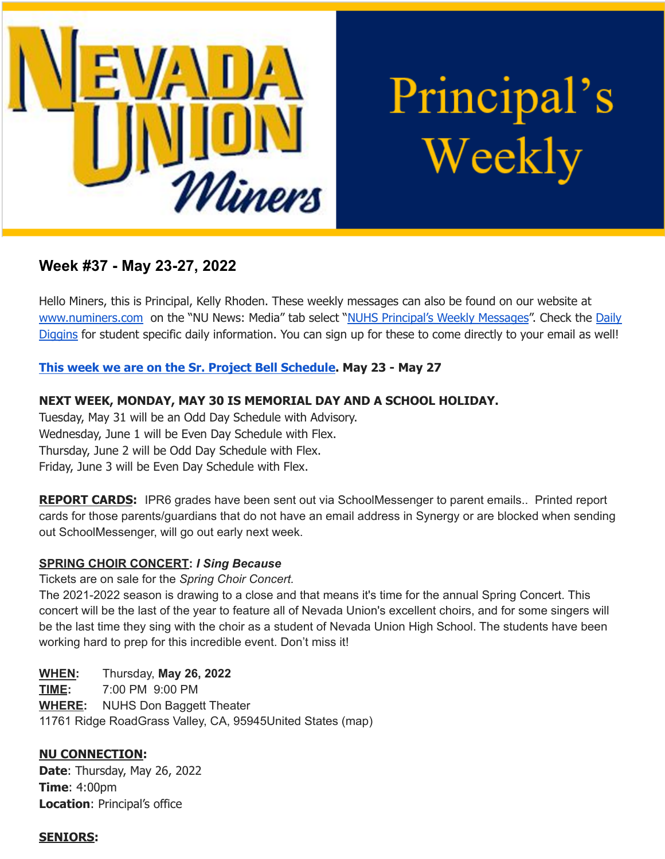

Principal's Weekly

# **Week #37 - May 23-27, 2022**

Hello Miners, this is Principal, Kelly Rhoden. These weekly messages can also be found on our website at [www.numiners.com](http://www.numiners.com) on the "NU News: Media" tab select "NUHS [Principal's](https://nevadaunion.njuhsd.com/NU-NewsMedia/NUHS-Principals-Weekly-Messages/index.html) Weekly Messages". Check the [Daily](https://nevadaunion.njuhsd.com/NU-NewsMedia/Daily-Diggins-Bulletin/index.html) [Diggins](https://nevadaunion.njuhsd.com/NU-NewsMedia/Daily-Diggins-Bulletin/index.html) for student specific daily information. You can sign up for these to come directly to your email as well!

## **This week we are on the Sr. Project Bell [Schedule.](https://nevadaunion.njuhsd.com/documents/Bell%20Schedules/21.22-SENIOR-PROJECT-MIN-DAYS-WEEKLY-SCHEDULE-MAY-25-26.pdf) May 23 - May 27**

## **NEXT WEEK, MONDAY, MAY 30 IS MEMORIAL DAY AND A SCHOOL HOLIDAY.**

Tuesday, May 31 will be an Odd Day Schedule with Advisory. Wednesday, June 1 will be Even Day Schedule with Flex. Thursday, June 2 will be Odd Day Schedule with Flex. Friday, June 3 will be Even Day Schedule with Flex.

**REPORT CARDS:** IPR6 grades have been sent out via SchoolMessenger to parent emails.. Printed report cards for those parents/guardians that do not have an email address in Synergy or are blocked when sending out SchoolMessenger, will go out early next week.

### **SPRING CHOIR CONCERT:** *I Sing Because*

Tickets are on sale for the *Spring Choir Concert.*

The 2021-2022 season is drawing to a close and that means it's time for the annual Spring Concert. This concert will be the last of the year to feature all of Nevada Union's excellent choirs, and for some singers will be the last time they sing with the choir as a student of Nevada Union High School. The students have been working hard to prep for this incredible event. Don't miss it!

**WHEN:** Thursday, **May 26, 2022 TIME:** 7:00 PM 9:00 PM **WHERE:** NUHS Don Baggett Theater 11761 Ridge RoadGrass Valley, CA, 95945United States (map)

## **NU CONNECTION:**

**Date**: Thursday, May 26, 2022 **Time**: 4:00pm **Location**: Principal's office

#### **SENIORS:**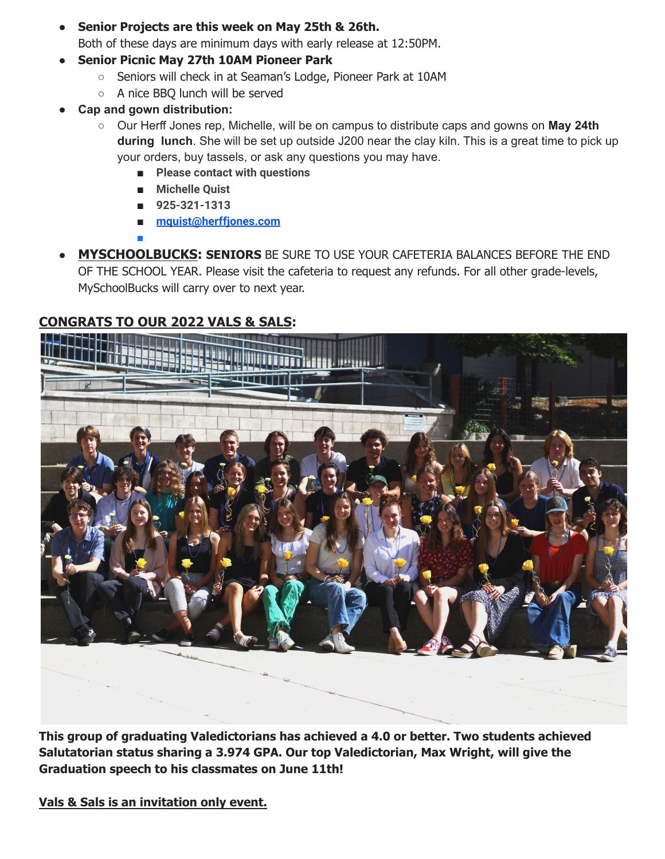- **Senior Projects are this week on May 25th & 26th.** Both of these days are minimum days with early release at 12:50PM.
- **Senior Picnic May 27th 10AM Pioneer Park**
	- Seniors will check in at Seaman's Lodge, Pioneer Park at 10AM
	- A nice BBQ lunch will be served
- **● Cap and gown distribution:**

**■**

- Our Herff Jones rep, Michelle, will be on campus to distribute caps and gowns on **May 24th during lunch**. She will be set up outside J200 near the clay kiln. This is a great time to pick up your orders, buy tassels, or ask any questions you may have.
	- **Please contact with questions**
	- **Michelle Quist**
	- **925-321-1313**
	- **[mquist@herffjones.com](mailto:mquist@herffjones.com)**
- **MYSCHOOLBUCKS: SENIORS** BE SURE TO USE YOUR CAFETERIA BALANCES BEFORE THE END OF THE SCHOOL YEAR. Please visit the cafeteria to request any refunds. For all other grade-levels, MySchoolBucks will carry over to next year.

# **CONGRATS TO OUR 2022 VALS & SALS:**



**This group of graduating Valedictorians has achieved a 4.0 or better. Two students achieved Salutatorian status sharing a 3.974 GPA. Our top Valedictorian, Max Wright, will give the Graduation speech to his classmates on June 11th!**

**Vals & Sals is an invitation only event.**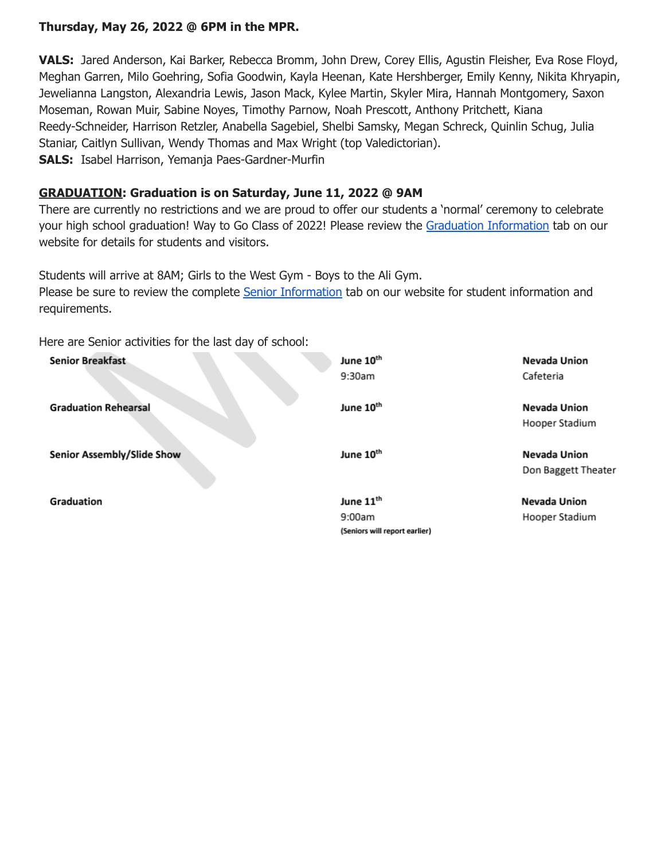### **Thursday, May 26, 2022 @ 6PM in the MPR.**

**VALS:** Jared Anderson, Kai Barker, Rebecca Bromm, John Drew, Corey Ellis, Agustin Fleisher, Eva Rose Floyd, Meghan Garren, Milo Goehring, Sofia Goodwin, Kayla Heenan, Kate Hershberger, Emily Kenny, Nikita Khryapin, Jewelianna Langston, Alexandria Lewis, Jason Mack, Kylee Martin, Skyler Mira, Hannah Montgomery, Saxon Moseman, Rowan Muir, Sabine Noyes, Timothy Parnow, Noah Prescott, Anthony Pritchett, Kiana Reedy-Schneider, Harrison Retzler, Anabella Sagebiel, Shelbi Samsky, Megan Schreck, Quinlin Schug, Julia Staniar, Caitlyn Sullivan, Wendy Thomas and Max Wright (top Valedictorian). **SALS:** Isabel Harrison, Yemanja Paes-Gardner-Murfin

#### **GRADUATION: Graduation is on Saturday, June 11, 2022 @ 9AM**

There are currently no restrictions and we are proud to offer our students a 'normal' ceremony to celebrate your high school graduation! Way to Go Class of 2022! Please review the Graduation [Information](https://nevadaunion.njuhsd.com/Information/Graduation/index.html) tab on our website for details for students and visitors.

Students will arrive at 8AM; Girls to the West Gym - Boys to the Ali Gym. Please be sure to review the complete Senior [Information](https://nevadaunion.njuhsd.com/documents/Nevada%20Union%20HS/Activities/Senior-Information-2022.pdf) tab on our website for student information and requirements.

Here are Senior activities for the last day of school:

| <b>Senior Breakfast</b>     | June 10 <sup>th</sup>         | Nevada Union        |
|-----------------------------|-------------------------------|---------------------|
|                             | 9:30am                        | Cafeteria           |
| <b>Graduation Rehearsal</b> | June 10 <sup>th</sup>         | Nevada Union        |
|                             |                               | Hooper Stadium      |
| Senior Assembly/Slide Show  | June 10 <sup>th</sup>         | Nevada Union        |
|                             |                               | Don Baggett Theater |
| Graduation                  | June 11 <sup>th</sup>         | <b>Nevada Union</b> |
|                             | 9:00am                        | Hooper Stadium      |
|                             | (Seniors will report earlier) |                     |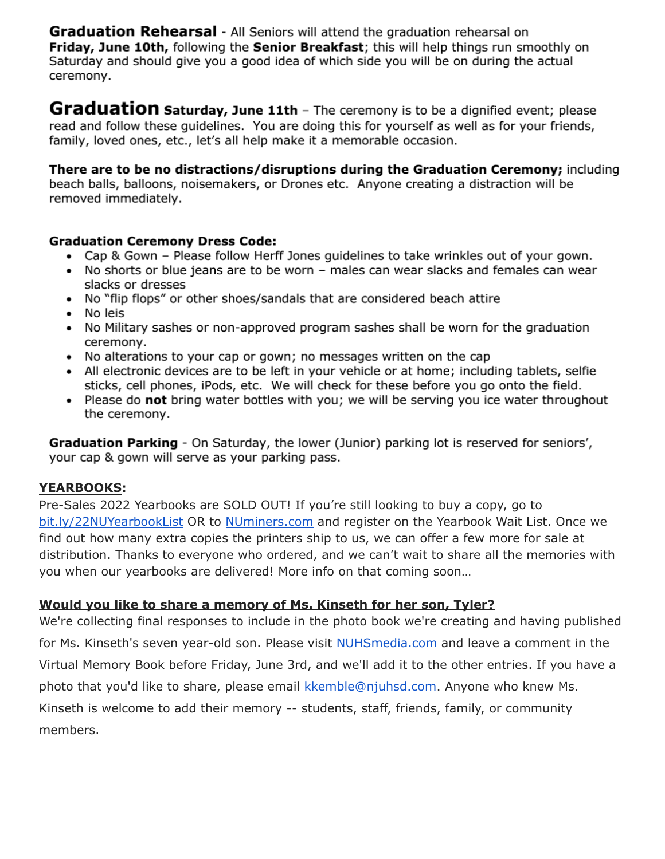**Graduation Rehearsal** - All Seniors will attend the graduation rehearsal on Friday, June 10th, following the Senior Breakfast; this will help things run smoothly on Saturday and should give you a good idea of which side you will be on during the actual ceremony.

Graduation saturday, June 11th - The ceremony is to be a dignified event; please read and follow these quidelines. You are doing this for yourself as well as for your friends, family, loved ones, etc., let's all help make it a memorable occasion.

There are to be no distractions/disruptions during the Graduation Ceremony; including beach balls, balloons, noisemakers, or Drones etc. Anyone creating a distraction will be removed immediately.

### **Graduation Ceremony Dress Code:**

- Cap & Gown Please follow Herff Jones guidelines to take wrinkles out of your gown.
- No shorts or blue jeans are to be worn males can wear slacks and females can wear slacks or dresses
- No "flip flops" or other shoes/sandals that are considered beach attire
- No leis
- No Military sashes or non-approved program sashes shall be worn for the graduation ceremony.
- No alterations to your cap or gown; no messages written on the cap
- All electronic devices are to be left in your vehicle or at home; including tablets, selfie sticks, cell phones, iPods, etc. We will check for these before you go onto the field.
- Please do not bring water bottles with you; we will be serving you ice water throughout the ceremony.

Graduation Parking - On Saturday, the lower (Junior) parking lot is reserved for seniors', your cap & gown will serve as your parking pass.

### **YEARBOOKS:**

Pre-Sales 2022 Yearbooks are SOLD OUT! If you're still looking to buy a copy, go to bit.ly/22NUYearbookList OR to NUminers.com and register on the Yearbook Wait List. Once we find out how many extra copies the printers ship to us, we can offer a few more for sale at distribution. Thanks to everyone who ordered, and we can't wait to share all the memories with you when our yearbooks are delivered! More info on that coming soon...

## Would you like to share a memory of Ms. Kinseth for her son, Tyler?

We're collecting final responses to include in the photo book we're creating and having published for Ms. Kinseth's seven year-old son. Please visit NUHSmedia.com and leave a comment in the Virtual Memory Book before Friday, June 3rd, and we'll add it to the other entries. If you have a photo that you'd like to share, please email kkemble@njuhsd.com. Anyone who knew Ms. Kinseth is welcome to add their memory -- students, staff, friends, family, or community members.